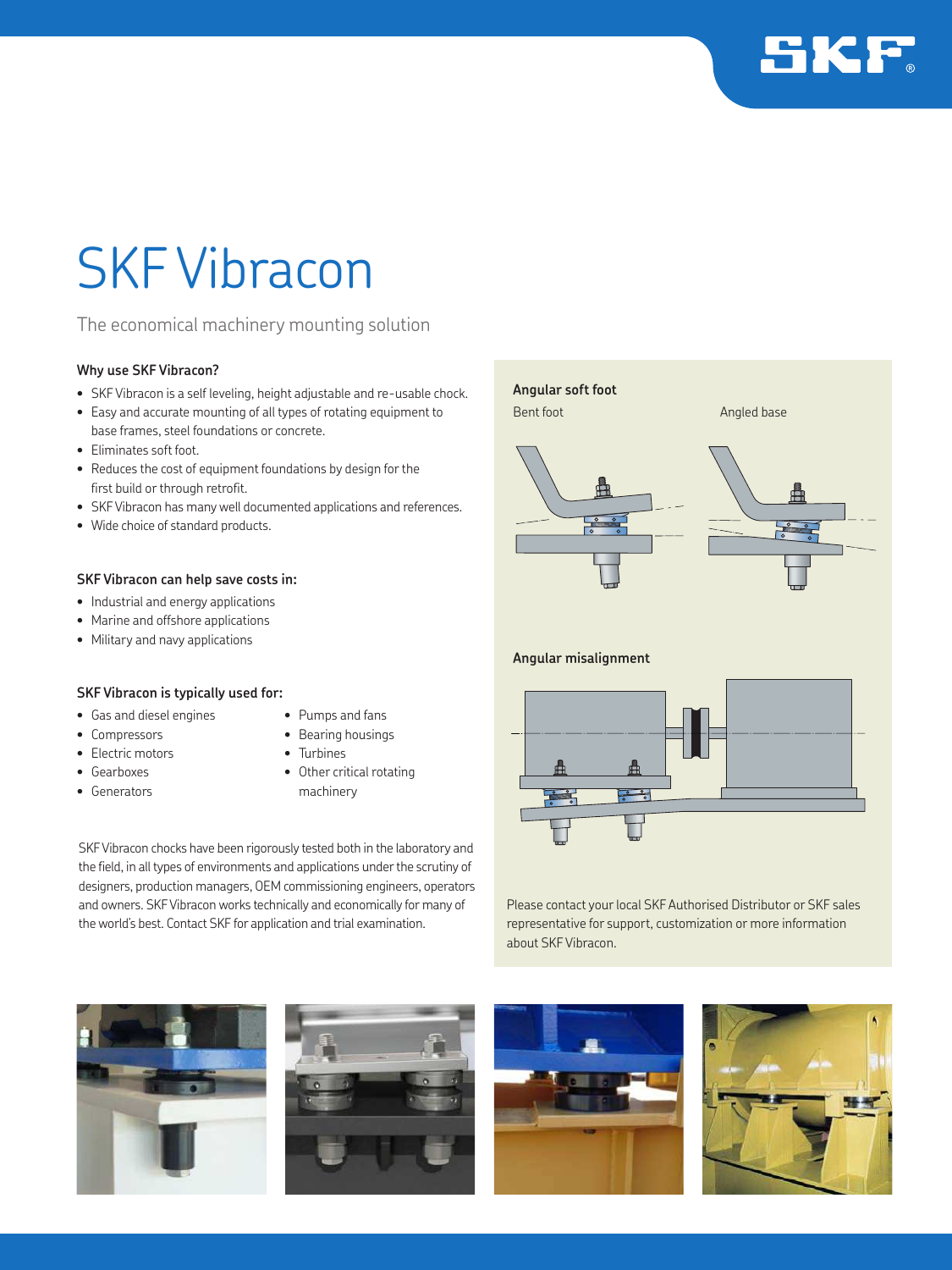

# SKF Vibracon

## The economical machinery mounting solution

## **Why use SKF Vibracon?**

- SKF Vibracon is a self leveling, height adjustable and re-usable chock.
- Easy and accurate mounting of all types of rotating equipment to base frames, steel foundations or concrete.
- Eliminates soft foot.
- Reduces the cost of equipment foundations by design for the first build or through retrofit.
- SKF Vibracon has many well documented applications and references.
- Wide choice of standard products.

## **SKF Vibracon can help save costs in:**

- Industrial and energy applications
- Marine and offshore applications
- Military and navy applications

## **SKF Vibracon is typically used for:**

- Gas and diesel engines
- Compressors
- Pumps and fans • Bearing housings
- 
- Electric motors • Gearboxes
- 
- Generators
- Turbines
- Other critical rotating machinery

SKF Vibracon chocks have been rigorously tested both in the laboratory and the field, in all types of environments and applications under the scrutiny of designers, production managers, OEM commissioning engineers, operators and owners. SKF Vibracon works technically and economically for many of the world's best. Contact SKF for application and trial examination.





Please contact your local SKF Authorised Distributor or SKF sales representative for support, customization or more information about SKF Vibracon.







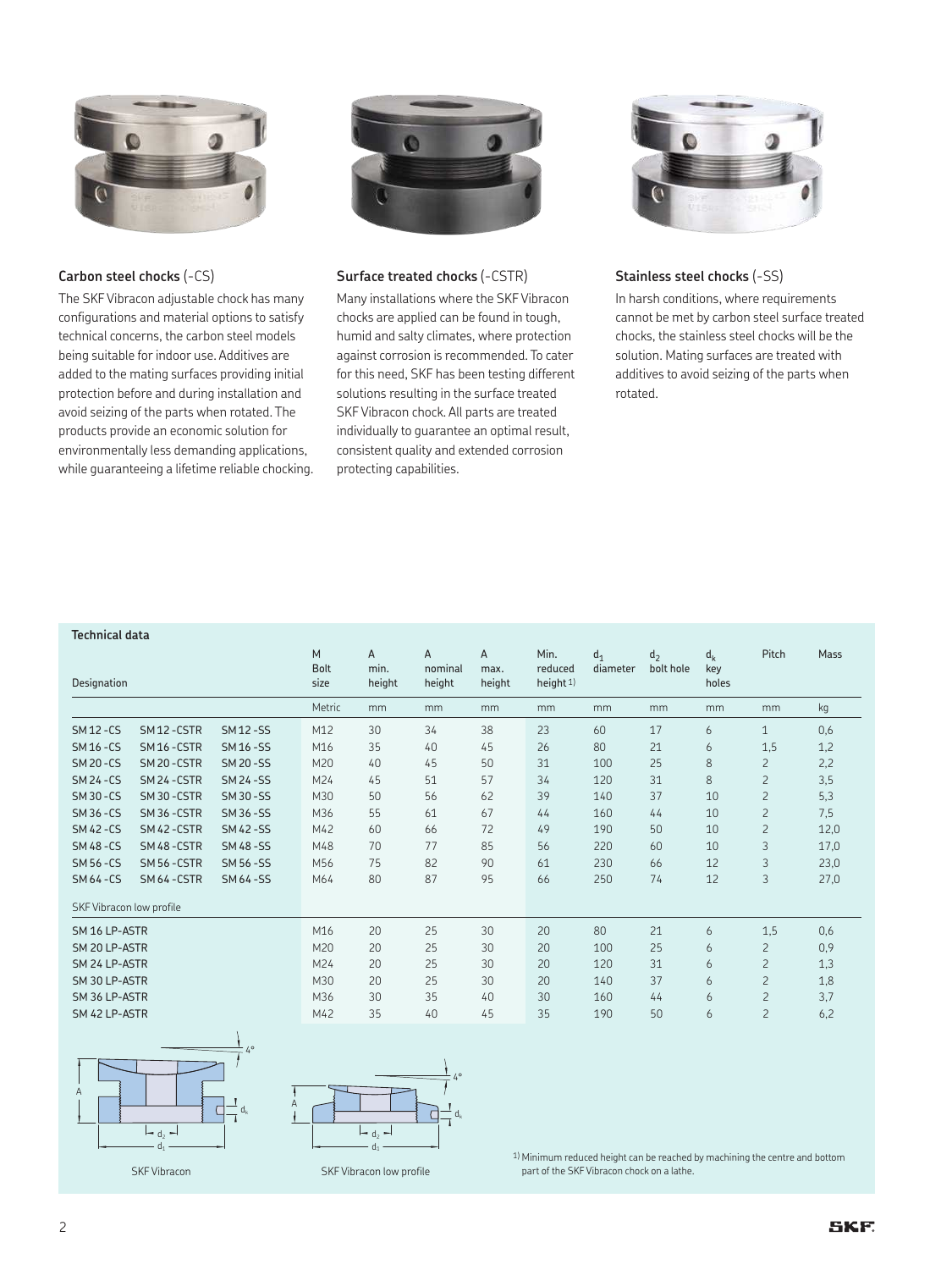

## **Carbon steel chocks** (-CS)

The SKF Vibracon adjustable chock has many configurations and material options to satisfy technical concerns, the carbon steel models being suitable for indoor use. Additives are added to the mating surfaces providing initial protection before and during installation and avoid seizing of the parts when rotated. The products provide an economic solution for environmentally less demanding applications, while guaranteeing a lifetime reliable chocking.



## **Surface treated chocks** (-CSTR)

Many installations where the SKF Vibracon chocks are applied can be found in tough, humid and salty climates, where protection against corrosion is recommended. To cater for this need, SKF has been testing different solutions resulting in the surface treated SKF Vibracon chock. All parts are treated individually to guarantee an optimal result, consistent quality and extended corrosion protecting capabilities.



## **Stainless steel chocks** (-SS)

In harsh conditions, where requirements cannot be met by carbon steel surface treated chocks, the stainless steel chocks will be the solution. Mating surfaces are treated with additives to avoid seizing of the parts when rotated.

#### **Technical data**

| Designation              |              |                   | M<br><b>Bolt</b><br>size | A<br>min.<br>height | A<br>nominal<br>height | A<br>max.<br>height | Min.<br>reduced<br>height 1) | $d_1$<br>diameter | d <sub>2</sub><br>bolt hole | $d_k$<br>key<br>holes | Pitch          | <b>Mass</b> |
|--------------------------|--------------|-------------------|--------------------------|---------------------|------------------------|---------------------|------------------------------|-------------------|-----------------------------|-----------------------|----------------|-------------|
|                          |              |                   | Metric                   | mm                  | mm                     | mm                  | mm                           | mm                | mm                          | mm                    | mm             | kg          |
| <b>SM12-CS</b>           | SM12-CSTR    | <b>SM12-SS</b>    | M12                      | 30                  | 34                     | 38                  | 23                           | 60                | 17                          | 6                     | $\mathbf{1}$   | 0,6         |
| <b>SM 16 - CS</b>        | SM16-CSTR    | <b>SM16-SS</b>    | M16                      | 35                  | 40                     | 45                  | 26                           | 80                | 21                          | 6                     | 1,5            | 1,2         |
| <b>SM 20 - CS</b>        | SM 20 - CSTR | SM 20-SS          | M20                      | 40                  | 45                     | 50                  | 31                           | 100               | 25                          | 8                     | $\overline{c}$ | 2,2         |
| <b>SM 24 - CS</b>        | SM 24 - CSTR | <b>SM 24 - SS</b> | M24                      | 45                  | 51                     | 57                  | 34                           | 120               | 31                          | 8                     | $\overline{c}$ | 3,5         |
| SM 30 - CS               | SM30-CSTR    | SM 30-SS          | M30                      | 50                  | 56                     | 62                  | 39                           | 140               | 37                          | 10                    | $\overline{c}$ | 5,3         |
| <b>SM36-CS</b>           | SM36-CSTR    | SM 36 - SS        | M36                      | 55                  | 61                     | 67                  | 44                           | 160               | 44                          | 10                    | $\overline{2}$ | 7,5         |
| <b>SM 42 -CS</b>         | SM 42 - CSTR | SM 42 - SS        | M42                      | 60                  | 66                     | 72                  | 49                           | 190               | 50                          | 10                    | $\overline{2}$ | 12,0        |
| <b>SM 48 - CS</b>        | SM 48-CSTR   | SM 48-SS          | M48                      | 70                  | 77                     | 85                  | 56                           | 220               | 60                          | 10                    | 3              | 17,0        |
| <b>SM 56 - CS</b>        | SM 56 - CSTR | SM 56-SS          | M56                      | 75                  | 82                     | 90                  | 61                           | 230               | 66                          | 12                    | 3              | 23,0        |
| <b>SM 64 -CS</b>         | SM 64 - CSTR | <b>SM 64 - SS</b> | M64                      | 80                  | 87                     | 95                  | 66                           | 250               | 74                          | 12                    | 3              | 27,0        |
| SKF Vibracon low profile |              |                   |                          |                     |                        |                     |                              |                   |                             |                       |                |             |
| SM 16 LP-ASTR            |              |                   | M16                      | 20                  | 25                     | 30                  | 20                           | 80                | 21                          | 6                     | 1,5            | 0,6         |
| SM 20 LP-ASTR            |              |                   | M20                      | 20                  | 25                     | 30                  | 20                           | 100               | 25                          | 6                     | $\overline{c}$ | 0,9         |
| SM 24 LP-ASTR            |              |                   | M24                      | 20                  | 25                     | 30                  | 20                           | 120               | 31                          | 6                     | $\overline{c}$ | 1,3         |
| SM 30 LP-ASTR            |              |                   | M30                      | 20                  | 25                     | 30                  | 20                           | 140               | 37                          | 6                     | $\overline{c}$ | 1,8         |
| SM 36 LP-ASTR            |              |                   | M36                      | 30                  | 35                     | 40                  | 30                           | 160               | 44                          | 6                     | $\overline{2}$ | 3,7         |
| SM 42 LP-ASTR            |              |                   | M42                      | 35                  | 40                     | 45                  | 35                           | 190               | 50                          | 6                     | $\overline{c}$ | 6,2         |





1) Minimum reduced height can be reached by machining the centre and bottom SKF Vibracon SKF Vibracon SKF Vibracon low profile part of the SKF Vibracon chock on a lathe.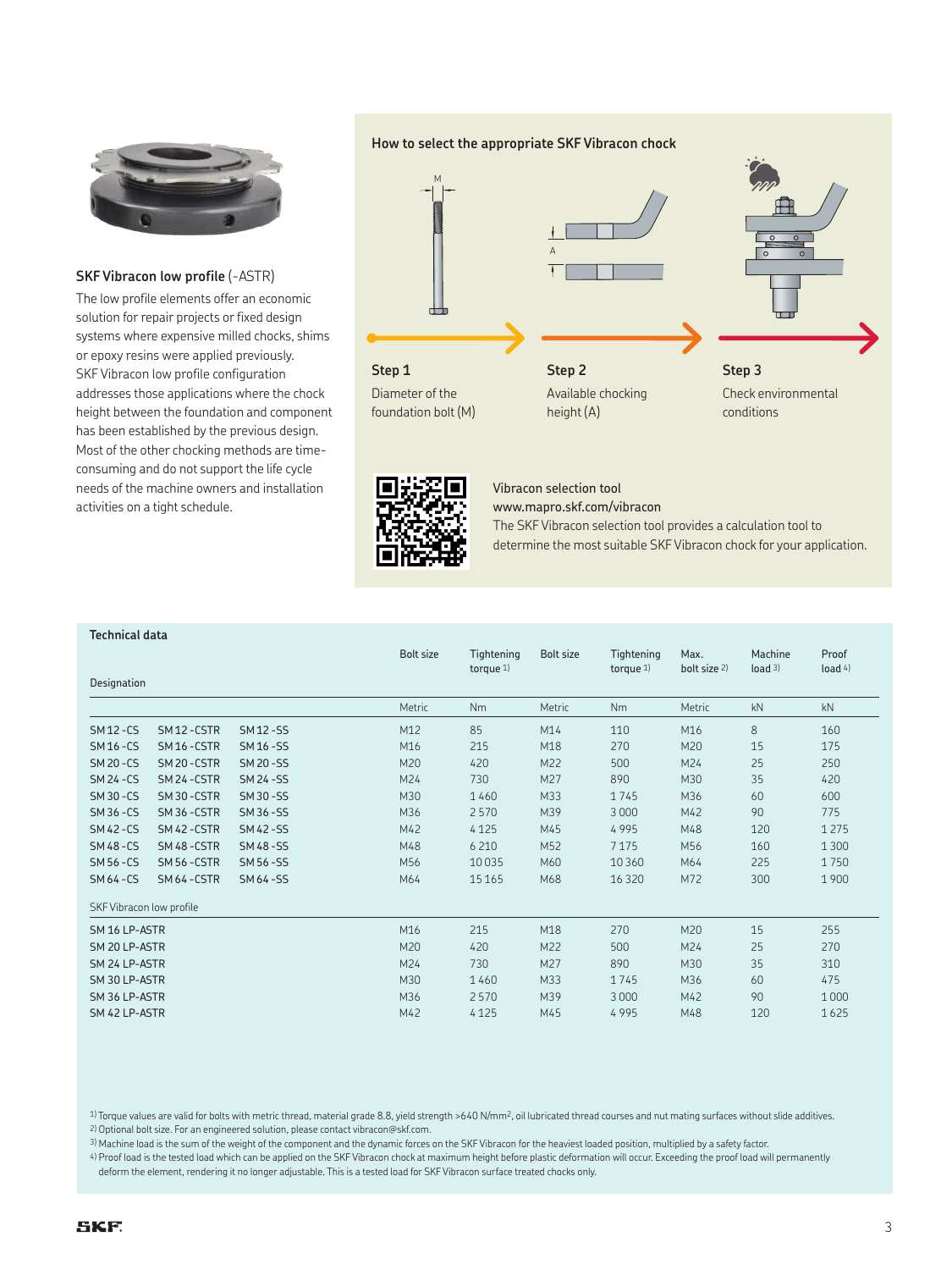

#### **SKF Vibracon low profile** (-ASTR)

The low profile elements offer an economic solution for repair projects or fixed design systems where expensive milled chocks, shims or epoxy resins were applied previously. SKF Vibracon low profile configuration addresses those applications where the chock height between the foundation and component has been established by the previous design. Most of the other chocking methods are timeconsuming and do not support the life cycle needs of the machine owners and installation activities on a tight schedule.



Diameter of the foundation bolt (M) **Step 2** Available chocking height (A)

**Step 3** Check environmental conditions



Vibracon selection tool

www.mapro.skf.com/vibracon

The SKF Vibracon selection tool provides a calculation tool to determine the most suitable SKF Vibracon chock for your application.

#### **Technical data**

|                          |              |                   | <b>Bolt size</b> | Tightening   | <b>Bolt size</b> | Tightening   | Max.         | Machine<br>load <sup>3</sup> | Proof<br>load(4) |
|--------------------------|--------------|-------------------|------------------|--------------|------------------|--------------|--------------|------------------------------|------------------|
| Designation              |              |                   |                  | torque $1$ ) |                  | torque $1$ ) | bolt size 2) |                              |                  |
|                          |              |                   | Metric           | Nm           | Metric           | <b>Nm</b>    | Metric       | kN                           | kN               |
| <b>SM12-CS</b>           | SM12-CSTR    | <b>SM12-SS</b>    | M12              | 85           | M14              | 110          | M16          | 8                            | 160              |
| $SM16 - CS$              | SM16-CSTR    | SM 16 - SS        | M16              | 215          | M18              | 270          | M20          | 15                           | 175              |
| <b>SM 20 - CS</b>        | SM 20 - CSTR | SM 20 - SS        | M20              | 420          | M22              | 500          | M24          | 25                           | 250              |
| <b>SM 24 -CS</b>         | SM 24 - CSTR | <b>SM 24 - SS</b> | M24              | 730          | M27              | 890          | M30          | 35                           | 420              |
| <b>SM30-CS</b>           | SM 30-CSTR   | SM 30-SS          | M30              | 1460         | M33              | 1745         | M36          | 60                           | 600              |
| <b>SM36-CS</b>           | SM36-CSTR    | SM 36 - SS        | M36              | 2570         | M39              | 3000         | M42          | 90                           | 775              |
| <b>SM 42 - CS</b>        | SM 42-CSTR   | SM 42 - SS        | M42              | 4 1 2 5      | M45              | 4995         | M48          | 120                          | 1275             |
| <b>SM 48 - CS</b>        | SM 48-CSTR   | SM 48-SS          | M48              | 6 2 1 0      | M52              | 7175         | M56          | 160                          | 1 3 0 0          |
| <b>SM 56 - CS</b>        | SM 56-CSTR   | SM 56-SS          | M <sub>56</sub>  | 10035        | M60              | 10 3 6 0     | M64          | 225                          | 1750             |
| <b>SM 64 -CS</b>         | SM 64 - CSTR | SM 64-SS          | M64              | 15 1 65      | M68              | 16 3 20      | M72          | 300                          | 1900             |
| SKF Vibracon low profile |              |                   |                  |              |                  |              |              |                              |                  |
| SM 16 LP-ASTR            |              |                   | M16              | 215          | M18              | 270          | M20          | 15                           | 255              |
| SM 20 LP-ASTR            |              |                   | M20              | 420          | M22              | 500          | M24          | 25                           | 270              |
| SM 24 LP-ASTR            |              |                   | M24              | 730          | M27              | 890          | M30          | 35                           | 310              |
| SM 30 LP-ASTR            |              |                   | M30              | 1460         | M33              | 1745         | M36          | 60                           | 475              |
| SM 36 LP-ASTR            |              |                   | M36              | 2570         | M39              | 3000         | M42          | 90                           | 1000             |
| SM 42 LP-ASTR            |              |                   | M42              | 4 1 2 5      | M45              | 4995         | M48          | 120                          | 1625             |

1) Torque values are valid for bolts with metric thread, material grade 8.8, yield strength >640 N/mm2, oil lubricated thread courses and nut mating surfaces without slide additives. 2) Optional bolt size. For an engineered solution, please contact vibracon@skf.com.

3) Machine load is the sum of the weight of the component and the dynamic forces on the SKF Vibracon for the heaviest loaded position, multiplied by a safety factor.

4) Proof load is the tested load which can be applied on the SKF Vibracon chock at maximum height before plastic deformation will occur. Exceeding the proof load will permanently deform the element, rendering it no longer adjustable. This is a tested load for SKF Vibracon surface treated chocks only.